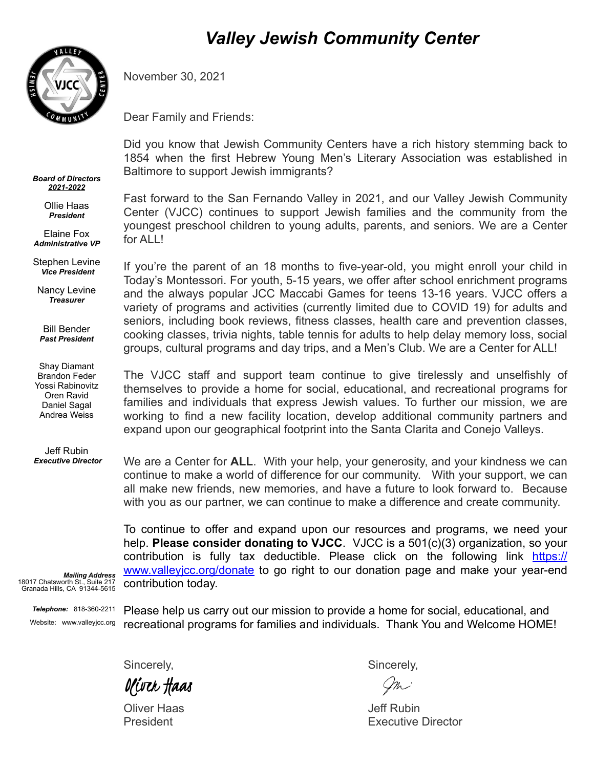

*Board of Directors 2021-2022* Ollie Haas *President* Elaine Fox *Administrative VP* Stephen Levine  *Vice President*

Nancy Levine *Treasurer*

Bill Bender *Past President*

Shay Diamant Brandon Feder Yossi Rabinovitz Oren Ravid Daniel Sagal Andrea Weiss

Jeff Rubin  *Executive Director*

## *Valley Jewish Community Center*

November 30, 2021

Dear Family and Friends:

Did you know that Jewish Community Centers have a rich history stemming back to 1854 when the first Hebrew Young Men's Literary Association was established in Baltimore to support Jewish immigrants?

Fast forward to the San Fernando Valley in 2021, and our Valley Jewish Community Center (VJCC) continues to support Jewish families and the community from the youngest preschool children to young adults, parents, and seniors. We are a Center for ALL!

If you're the parent of an 18 months to five-year-old, you might enroll your child in Today's Montessori. For youth, 5-15 years, we offer after school enrichment programs and the always popular JCC Maccabi Games for teens 13-16 years. VJCC offers a variety of programs and activities (currently limited due to COVID 19) for adults and seniors, including book reviews, fitness classes, health care and prevention classes, cooking classes, trivia nights, table tennis for adults to help delay memory loss, social groups, cultural programs and day trips, and a Men's Club. We are a Center for ALL!

The VJCC staff and support team continue to give tirelessly and unselfishly of themselves to provide a home for social, educational, and recreational programs for families and individuals that express Jewish values. To further our mission, we are working to find a new facility location, develop additional community partners and expand upon our geographical footprint into the Santa Clarita and Conejo Valleys.

We are a Center for **ALL**. With your help, your generosity, and your kindness we can continue to make a world of difference for our community. With your support, we can all make new friends, new memories, and have a future to look forward to. Because with you as our partner, we can continue to make a difference and create community.

To continue to offer and expand upon our resources and programs, we need your help. **Please consider donating to VJCC**. VJCC is a 501(c)(3) organization, so your contribution is fully tax deductible. Please click on the following link [https://](https://www.valleyjcc.org/donate) [www.valleyjcc.org/donate](https://www.valleyjcc.org/donate) to go right to our donation page and make your year-end contribution today.

*Mailing Address* 18017 Chatsworth St., Suite 217 Granada Hills, CA 91344-5615

> *Telephone:* 818-360-2211 Website: www.valleyjcc.org

Please help us carry out our mission to provide a home for social, educational, and recreational programs for families and individuals. Thank You and Welcome HOME!

Sincerely, Sincerely, Sincerely, Sincerely, Sincerely, Sincerely, Sincerely, Sincerely, Sincerely, Sincerely, Sincerely,  $\sim$ Oliver Haas

Oliver Haas **Jeff Rubin** 

President **Executive Director** Executive Director